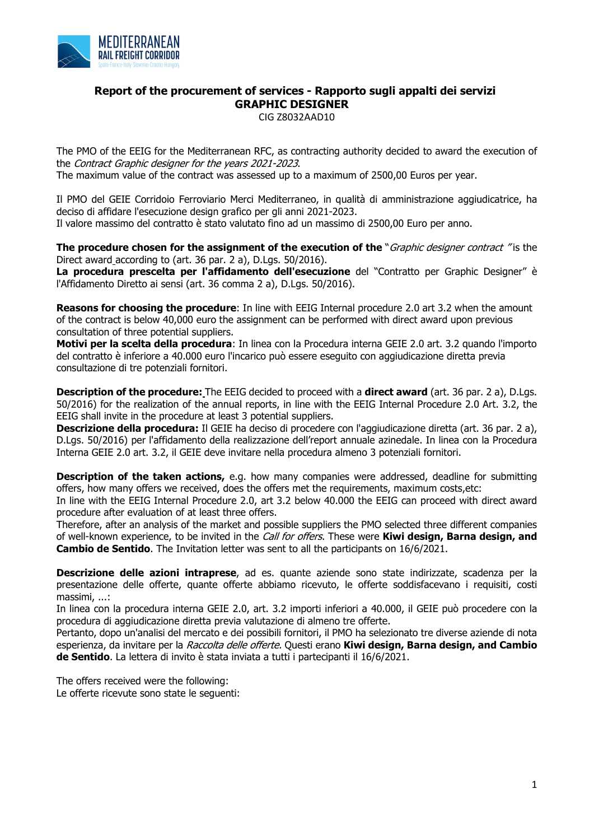

## **Report of the procurement of services - Rapporto sugli appalti dei servizi GRAPHIC DESIGNER**

CIG Z8032AAD10

The PMO of the EEIG for the Mediterranean RFC, as contracting authority decided to award the execution of the Contract Graphic designer for the years 2021-2023. The maximum value of the contract was assessed up to a maximum of 2500,00 Euros per year.

Il PMO del GEIE Corridoio Ferroviario Merci Mediterraneo, in qualità di amministrazione aggiudicatrice, ha deciso di affidare l'esecuzione design grafico per gli anni 2021-2023. Il valore massimo del contratto è stato valutato fino ad un massimo di 2500,00 Euro per anno.

**The procedure chosen for the assignment of the execution of the** "*Graphic designer contract* "is the Direct award according to (art. 36 par. 2 a), D.Lgs. 50/2016).

**La procedura prescelta per l'affidamento dell'esecuzione** del "Contratto per Graphic Designer" è l'Affidamento Diretto ai sensi (art. 36 comma 2 a), D.Lgs. 50/2016).

**Reasons for choosing the procedure**: In line with EEIG Internal procedure 2.0 art 3.2 when the amount of the contract is below 40,000 euro the assignment can be performed with direct award upon previous consultation of three potential suppliers.

**Motivi per la scelta della procedura**: In linea con la Procedura interna GEIE 2.0 art. 3.2 quando l'importo del contratto è inferiore a 40.000 euro l'incarico può essere eseguito con aggiudicazione diretta previa consultazione di tre potenziali fornitori.

**Description of the procedure:** The EEIG decided to proceed with a **direct award** (art. 36 par. 2 a), D.Lgs. 50/2016) for the realization of the annual reports, in line with the EEIG Internal Procedure 2.0 Art. 3.2, the EEIG shall invite in the procedure at least 3 potential suppliers.

**Descrizione della procedura:** Il GEIE ha deciso di procedere con l'aggiudicazione diretta (art. 36 par. 2 a), D.Lgs. 50/2016) per l'affidamento della realizzazione dell'report annuale azinedale. In linea con la Procedura Interna GEIE 2.0 art. 3.2, il GEIE deve invitare nella procedura almeno 3 potenziali fornitori.

**Description of the taken actions,** e.g. how many companies were addressed, deadline for submitting offers, how many offers we received, does the offers met the requirements, maximum costs,etc:

In line with the EEIG Internal Procedure 2.0, art 3.2 below 40.000 the EEIG can proceed with direct award procedure after evaluation of at least three offers.

Therefore, after an analysis of the market and possible suppliers the PMO selected three different companies of well-known experience, to be invited in the Call for offers. These were **Kiwi design, Barna design, and Cambio de Sentido**. The Invitation letter was sent to all the participants on 16/6/2021.

**Descrizione delle azioni intraprese**, ad es. quante aziende sono state indirizzate, scadenza per la presentazione delle offerte, quante offerte abbiamo ricevuto, le offerte soddisfacevano i requisiti, costi massimi, ...:

In linea con la procedura interna GEIE 2.0, art. 3.2 importi inferiori a 40.000, il GEIE può procedere con la procedura di aggiudicazione diretta previa valutazione di almeno tre offerte.

Pertanto, dopo un'analisi del mercato e dei possibili fornitori, il PMO ha selezionato tre diverse aziende di nota esperienza, da invitare per la Raccolta delle offerte. Questi erano **Kiwi design, Barna design, and Cambio de Sentido**. La lettera di invito è stata inviata a tutti i partecipanti il 16/6/2021.

The offers received were the following: Le offerte ricevute sono state le seguenti: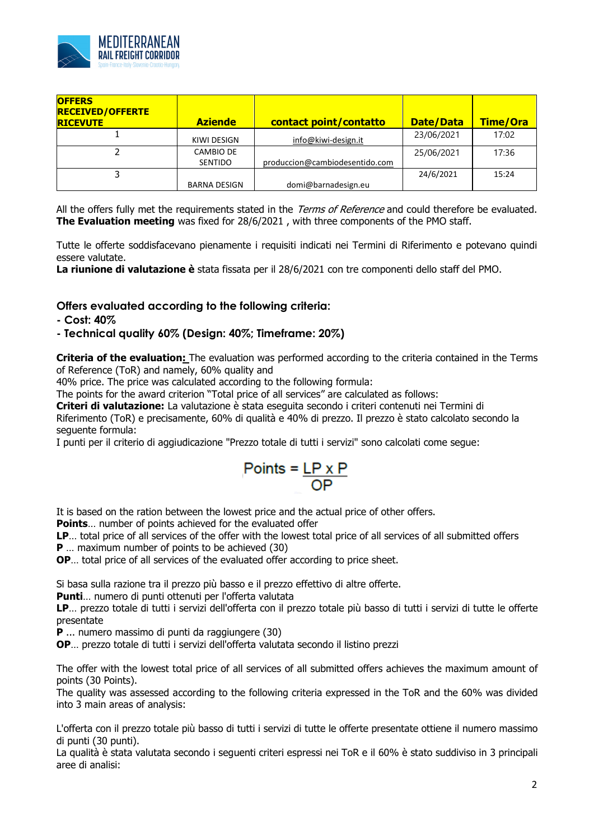

| <b>OFFERS</b><br><b>RECEIVED/OFFERTE</b><br><b>RICEVUTE</b> | <b>Aziende</b>      | contact point/contatto         | <b>Date/Data</b> | Time/Ora |
|-------------------------------------------------------------|---------------------|--------------------------------|------------------|----------|
|                                                             | KIWI DESIGN         | info@kiwi-design.it            | 23/06/2021       | 17:02    |
|                                                             | <b>CAMBIO DE</b>    |                                | 25/06/2021       | 17:36    |
|                                                             | <b>SENTIDO</b>      | produccion@cambiodesentido.com |                  |          |
|                                                             |                     |                                | 24/6/2021        | 15:24    |
|                                                             | <b>BARNA DESIGN</b> | domi@barnadesign.eu            |                  |          |

All the offers fully met the requirements stated in the Terms of Reference and could therefore be evaluated. **The Evaluation meeting** was fixed for 28/6/2021 , with three components of the PMO staff.

Tutte le offerte soddisfacevano pienamente i requisiti indicati nei Termini di Riferimento e potevano quindi essere valutate.

**La riunione di valutazione è** stata fissata per il 28/6/2021 con tre componenti dello staff del PMO.

## **Offers evaluated according to the following criteria:**

**- Cost: 40%**

## **- Technical quality 60% (Design: 40%; Timeframe: 20%)**

**Criteria of the evaluation:** The evaluation was performed according to the criteria contained in the Terms of Reference (ToR) and namely, 60% quality and

40% price. The price was calculated according to the following formula:

The points for the award criterion "Total price of all services" are calculated as follows:

**Criteri di valutazione:** La valutazione è stata eseguita secondo i criteri contenuti nei Termini di Riferimento (ToR) e precisamente, 60% di qualità e 40% di prezzo. Il prezzo è stato calcolato secondo la seguente formula:

I punti per il criterio di aggiudicazione "Prezzo totale di tutti i servizi" sono calcolati come segue:

$$
Points = \frac{LP \times P}{OP}
$$

It is based on the ration between the lowest price and the actual price of other offers.

**Points**… number of points achieved for the evaluated offer

**LP**… total price of all services of the offer with the lowest total price of all services of all submitted offers

**P** … maximum number of points to be achieved (30)

**OP**… total price of all services of the evaluated offer according to price sheet.

Si basa sulla razione tra il prezzo più basso e il prezzo effettivo di altre offerte.

**Punti**… numero di punti ottenuti per l'offerta valutata

**LP**… prezzo totale di tutti i servizi dell'offerta con il prezzo totale più basso di tutti i servizi di tutte le offerte presentate

**P** ... numero massimo di punti da raggiungere (30)

**OP**… prezzo totale di tutti i servizi dell'offerta valutata secondo il listino prezzi

The offer with the lowest total price of all services of all submitted offers achieves the maximum amount of points (30 Points).

The quality was assessed according to the following criteria expressed in the ToR and the 60% was divided into 3 main areas of analysis:

L'offerta con il prezzo totale più basso di tutti i servizi di tutte le offerte presentate ottiene il numero massimo di punti (30 punti).

La qualità è stata valutata secondo i seguenti criteri espressi nei ToR e il 60% è stato suddiviso in 3 principali aree di analisi: